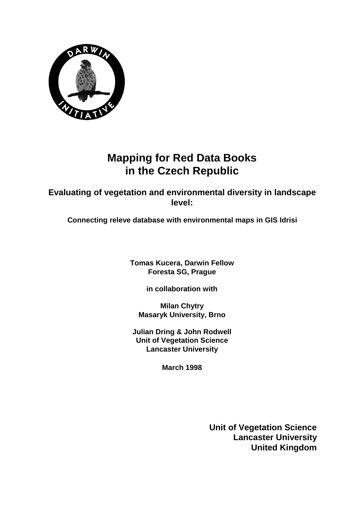

## **Mapping for Red Data Books in the Czech Republic**

**Evaluating of vegetation and environmental diversity in landscape level:**

**Connecting releve database with environmental maps in GIS Idrisi**

**Tomas Kucera, Darwin Fellow Foresta SG, Prague**

**in collaboration with**

**Milan Chytry Masaryk University, Brno**

**Julian Dring & John Rodwell Unit of Vegetation Science Lancaster University**

**March 1998**

**Unit of Vegetation Science Lancaster University United Kingdom**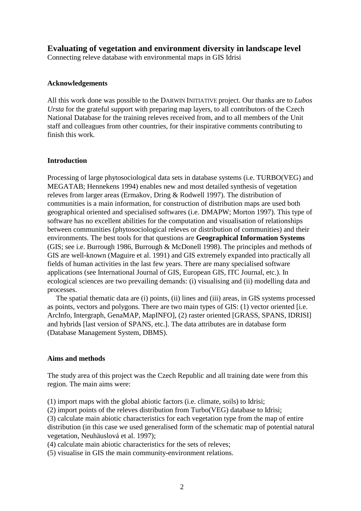## **Evaluating of vegetation and environment diversity in landscape level**

Connecting releve database with environmental maps in GIS Idrisi

## **Acknowledgements**

All this work done was possible to the DARWIN INITIATIVE project. Our thanks are to *Lubos Ursta* for the grateful support with preparing map layers, to all contributors of the Czech National Database for the training releves received from, and to all members of the Unit staff and colleagues from other countries, for their inspirative comments contributing to finish this work.

## **Introduction**

Processing of large phytosociological data sets in database systems (i.e. TURBO(VEG) and MEGATAB; Hennekens 1994) enables new and most detailed synthesis of vegetation releves from larger areas (Ermakov, Dring & Rodwell 1997). The distribution of communities is a main information, for construction of distribution maps are used both geographical oriented and specialised softwares (i.e. DMAPW; Morton 1997). This type of software has no excellent abilities for the computation and visualisation of relationships between communities (phytosociological releves or distribution of communities) and their environments. The best tools for that questions are **Geographical Information Systems** (GIS; see i.e. Burrough 1986, Burrough & McDonell 1998). The principles and methods of GIS are well-known (Maguire et al. 1991) and GIS extremely expanded into practically all fields of human activities in the last few years. There are many specialised software applications (see International Journal of GIS, European GIS, ITC Journal, etc.). In ecological sciences are two prevailing demands: (i) visualising and (ii) modelling data and processes.

The spatial thematic data are (i) points, (ii) lines and (iii) areas, in GIS systems processed as points, vectors and polygons. There are two main types of GIS: (1) vector oriented [i.e. ArcInfo, Intergraph, GenaMAP, MapINFO], (2) raster oriented [GRASS, SPANS, IDRISI] and hybrids [last version of SPANS, etc.]. The data attributes are in database form (Database Management System, DBMS).

## **Aims and methods**

The study area of this project was the Czech Republic and all training date were from this region. The main aims were:

(1) import maps with the global abiotic factors (i.e. climate, soils) to Idrisi;

(2) import points of the releves distribution from Turbo(VEG) database to Idrisi;

(3) calculate main abiotic characteristics for each vegetation type from the map of entire distribution (in this case we used generalised form of the schematic map of potential natural vegetation, Neuhäuslová et al. 1997);

(4) calculate main abiotic characteristics for the sets of releves;

(5) visualise in GIS the main community-environment relations.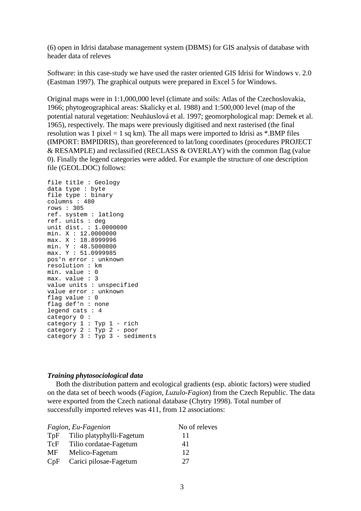(6) open in Idrisi database management system (DBMS) for GIS analysis of database with header data of releves

Software: in this case-study we have used the raster oriented GIS Idrisi for Windows v. 2.0 (Eastman 1997). The graphical outputs were prepared in Excel 5 for Windows.

Original maps were in 1:1,000,000 level (climate and soils: Atlas of the Czechoslovakia, 1966; phytogeographical areas: Skalicky et al. 1988) and 1:500,000 level (map of the potential natural vegetation: Neuhäuslová et al. 1997; geomorphological map: Demek et al. 1965), respectively. The maps were previously digitised and next rasterised (the final resolution was 1 pixel  $= 1$  sq km). The all maps were imported to Idrisi as  $*$ . BMP files (IMPORT: BMPIDRIS), than georeferenced to lat/long coordinates (procedures PROJECT & RESAMPLE) and reclassified (RECLASS & OVERLAY) with the common flag (value 0). Finally the legend categories were added. For example the structure of one description file (GEOL.DOC) follows:

file title : Geology data type : byte file type : binary columns : 480 rows : 305 ref. system : latlong ref. units : deg unit dist. : 1.0000000 min. X : 12.0000000 max. X : 18.8999996 min. Y : 48.5000000 max. Y : 51.0999985 pos'n error : unknown resolution : km min. value : 0 max. value : 3 value units : unspecified value error : unknown flag value : 0 flag def'n : none legend cats : 4 category 0 : category 1 : Typ 1 - rich category 2 : Typ 2 - poor  $categorical \cdot \frac{1}{100}$  3 - sediments

## *Training phytosociological data*

Both the distribution pattern and ecological gradients (esp. abiotic factors) were studied on the data set of beech woods (*Fagion, Luzulo-Fagion*) from the Czech Republic. The data were exported from the Czech national database (Chytry 1998). Total number of successfully imported releves was 411, from 12 associations:

|     | Fagion, Eu-Fagenion       | No of releves |  |  |
|-----|---------------------------|---------------|--|--|
| TpF | Tilio platyphylli-Fagetum | 11            |  |  |
| TcF | Tilio cordatae-Fagetum    | 41            |  |  |
| MF  | Melico-Fagetum            | 12            |  |  |
| CpF | Carici pilosae-Fagetum    | 27            |  |  |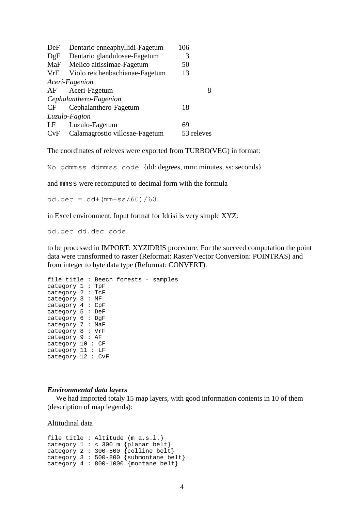| DeF                    | Dentario enneaphyllidi-Fagetum    | 106        |  |  |  |  |  |
|------------------------|-----------------------------------|------------|--|--|--|--|--|
| DgF                    | Dentario glandulosae-Fagetum<br>3 |            |  |  |  |  |  |
| MaF                    | Melico altissimae-Fagetum         | 50         |  |  |  |  |  |
| VrF                    | Violo reichenbachianae-Fagetum    | 13         |  |  |  |  |  |
| Aceri-Fagenion         |                                   |            |  |  |  |  |  |
| AF                     | Aceri-Fagetum                     | 8          |  |  |  |  |  |
| Cephalanthero-Fagenion |                                   |            |  |  |  |  |  |
| CF.                    | Cephalanthero-Fagetum             | 18         |  |  |  |  |  |
| Luzulo-Fagion          |                                   |            |  |  |  |  |  |
| LF                     | Luzulo-Fagetum                    | 69         |  |  |  |  |  |
| CvF                    | Calamagrostio villosae-Fagetum    | 53 releves |  |  |  |  |  |

The coordinates of releves were exported from TURBO(VEG) in format:

No ddmmss ddmmss code {dd: degrees, mm: minutes, ss: seconds}

and mmss were recomputed to decimal form with the formula

 $dd. dec = dd + (mm + ss/60)/60$ 

in Excel environment. Input format for Idrisi is very simple XYZ:

dd.dec dd.dec code

to be processed in IMPORT: XYZIDRIS procedure. For the succeed computation the point data were transformed to raster (Reformat: Raster/Vector Conversion: POINTRAS) and from integer to byte data type (Reformat: CONVERT).

```
file title : Beech forests - samples
category 1 : TpF
category 2 : TcF
category 3 : MF
category 4 : CpF
category 5 : DeF
category 6 : DgF
category 7 : MaF
category 8 : VrF
category 9 : AF
category 10 : CF
category 11 : LF
category 12 : CvF
```
#### *Environmental data layers*

We had imported totaly 15 map layers, with good information contents in 10 of them (description of map legends):

Altitudinal data

```
file title : Altitude (m a.s.l.)
category 1 : < 300 m {planar belt}
category 2 : 300-500 {colline belt}
category 3 : 500-800 {submontane belt}
category 4 : 800-1000 {montane belt}
```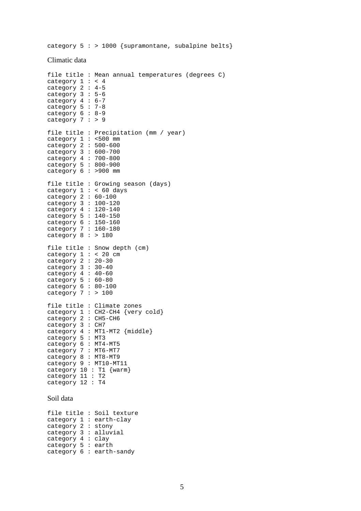category  $5 : > 1000$  {supramontane, subalpine belts}

#### Climatic data

```
file title : Mean annual temperatures (degrees C)
category 1 : < 4
category 2 : 4-5
category 3 : 5-6
category 4 : 6-7
category 5 : 7-8
category 6 : 8-9
category 7 : > 9file title : Precipitation (mm / year)
category 1 : <500 mm
category 2 : 500-600
category 3 : 600-700
category 4 : 700-800
category 5 : 800-900
category 6: >900 mm
file title : Growing season (days)
category 1 : < 60 days
category 2 : 60-100
category 3 : 100-120
category 4 : 120-140
category 5 : 140-150
category 6 : 150-160
category 7 : 160-180
category 8 : > 180file title : Snow depth (cm)
category 1 : < 20 cm
category 2 : 20-30
category 3 : 30-40
category 4 : 40-60
category 5 : 60-80category 6 : 80-100
category 7: > 100
file title : Climate zones
category 1 : CH2-CH4 {very cold}
category 2 : CH5-CH6
category 3 : CH7
category 4 : MT1-MT2 {middle}
category 5 : MT3
category 6 : MT4-MT5
category 7 : MT6-MT7
category 8 : MT8-MT9
category 9 : MT10-MT11
category 10 : T1 {warm}
category 11 : T2
category 12 : T4
Soil data
```
file title : Soil texture category 1 : earth-clay category 2 : stony category 3 : alluvial category 4 : clay category 5 : earth category 6 : earth-sandy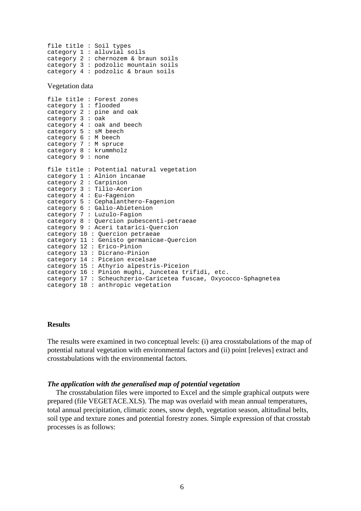```
file title : Soil types
category 1 : alluvial soils
category 2 : chernozem & braun soils
category 3 : podzolic mountain soils
category 4 : podzolic & braun soils
```
Vegetation data

```
file title : Forest zones
category 1 : flooded
category 2 : pine and oak
category 3 : oak
category 4 : oak and beech
category 5 : sM beech
category 6 : M beech
category 7 : M spruce
category 8 : krummholz
category 9 : none
file title : Potential natural vegetation
category 1 : Alnion incanae
category 2 : Carpinion
category 3 : Tilio-Acerion
category 4 : Eu-Fagenion
category 5 : Cephalanthero-Fagenion
category 6 : Galio-Abietenion
category 7 : Luzulo-Fagion
category 8 : Quercion pubescenti-petraeae
category 9 : Aceri tatarici-Quercion
category 10 : Quercion petraeae
category 11 : Genisto germanicae-Quercion
category 12 : Erico-Pinion
category 13 : Dicrano-Pinion
category 14 : Piceion excelsae
category 15 : Athyrio alpestris-Piceion
category 16 : Pinion mughi, Juncetea trifidi, etc.
category 17 : Scheuchzerio-Caricetea fuscae, Oxycocco-Sphagnetea
category 18 : anthropic vegetation
```
#### **Results**

The results were examined in two conceptual levels: (i) area crosstabulations of the map of potential natural vegetation with environmental factors and (ii) point [releves] extract and crosstabulations with the environmental factors.

#### *The application with the generalised map of potential vegetation*

The crosstabulation files were imported to Excel and the simple graphical outputs were prepared (file VEGETACE.XLS). The map was overlaid with mean annual temperatures, total annual precipitation, climatic zones, snow depth, vegetation season, altitudinal belts, soil type and texture zones and potential forestry zones. Simple expression of that crosstab processes is as follows: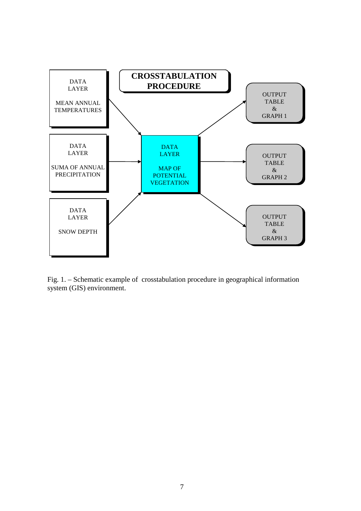

Fig. 1. – Schematic example of crosstabulation procedure in geographical information system (GIS) environment.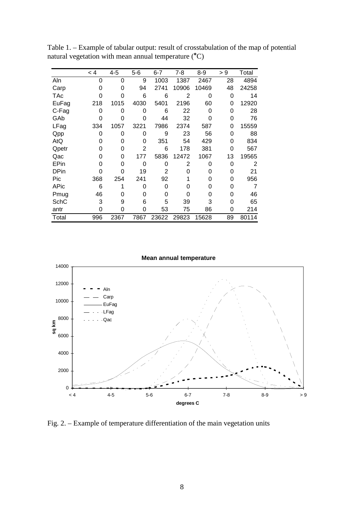|             | < 4 | 4-5  | 5-6  | $6 - 7$ | $7 - 8$ | 8-9   | > 9 | Total |
|-------------|-----|------|------|---------|---------|-------|-----|-------|
| Aln         | 0   | 0    | 9    | 1003    | 1387    | 2467  | 28  | 4894  |
| Carp        | 0   | 0    | 94   | 2741    | 10906   | 10469 | 48  | 24258 |
| <b>TAc</b>  | O   | 0    | 6    | 6       | 2       | 0     | 0   | 14    |
| EuFag       | 218 | 1015 | 4030 | 5401    | 2196    | 60    | 0   | 12920 |
| C-Fag       | 0   | 0    | 0    | 6       | 22      | 0     | 0   | 28    |
| GAb         | O   | O    | 0    | 44      | 32      | O     | 0   | 76    |
| LFag        | 334 | 1057 | 3221 | 7986    | 2374    | 587   | 0   | 15559 |
| Qpp         | 0   | 0    | 0    | 9       | 23      | 56    | 0   | 88    |
| AtQ         | O   | 0    | 0    | 351     | 54      | 429   | 0   | 834   |
| Qpetr       | O   | 0    | 2    | 6       | 178     | 381   | 0   | 567   |
| Qac         | O   | 0    | 177  | 5836    | 12472   | 1067  | 13  | 19565 |
| EPin        | O   | O    | 0    | 0       | 2       | ი     | 0   | 2     |
| <b>DPin</b> | O   | 0    | 19   | 2       | ი       | O     | 0   | 21    |
| Pic         | 368 | 254  | 241  | 92      |         | O     | 0   | 956   |
| APic        | 6   |      | 0    | 0       | ი       | O     | 0   | 7     |
| Pmug        | 46  | O    | O    | 0       | ი       | O     | 0   | 46    |
| SchC        | 3   | 9    | 6    | 5       | 39      | 3     | 0   | 65    |
| antr        | 0   | 0    | 0    | 53      | 75      | 86    | 0   | 214   |
| Total       | 996 | 2367 | 7867 | 23622   | 29823   | 15628 | 89  | 80114 |

Table 1. – Example of tabular output: result of crosstabulation of the map of potential natural vegetation with mean annual temperature  $({}^{\circ}C)$ 

**Mean annual temperature**



Fig. 2. – Example of temperature differentiation of the main vegetation units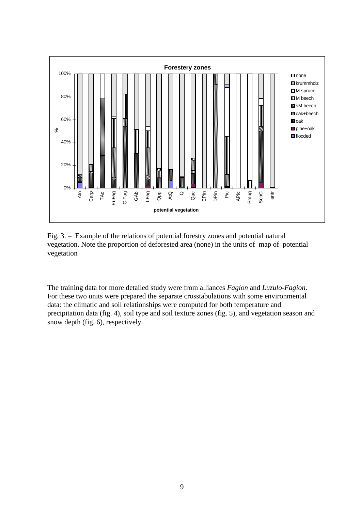

Fig. 3. – Example of the relations of potential forestry zones and potential natural vegetation. Note the proportion of deforested area (none) in the units of map of potential vegetation

The training data for more detailed study were from alliances *Fagion* and *Luzulo-Fagion*. For these two units were prepared the separate crosstabulations with some environmental data: the climatic and soil relationships were computed for both temperature and precipitation data (fig. 4), soil type and soil texture zones (fig. 5), and vegetation season and snow depth (fig. 6), respectively.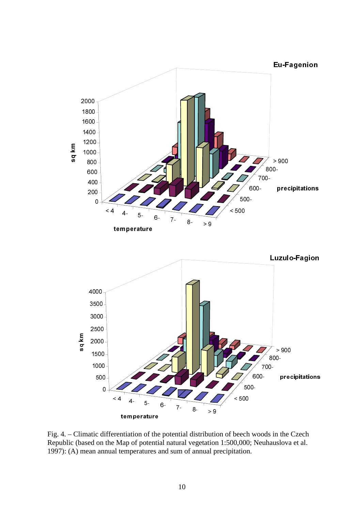

Fig. 4. – Climatic differentiation of the potential distribution of beech woods in the Czech Republic (based on the Map of potential natural vegetation 1:500,000; Neuhauslova et al. 1997): (A) mean annual temperatures and sum of annual precipitation.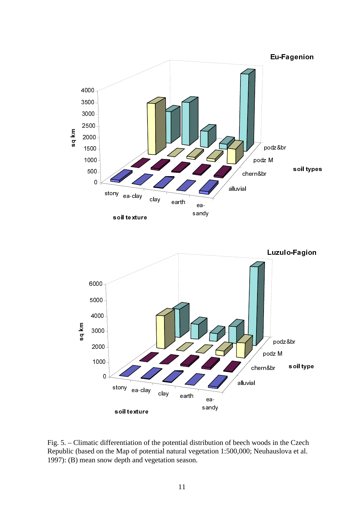

Fig. 5. – Climatic differentiation of the potential distribution of beech woods in the Czech Republic (based on the Map of potential natural vegetation 1:500,000; Neuhauslova et al. 1997): (B) mean snow depth and vegetation season.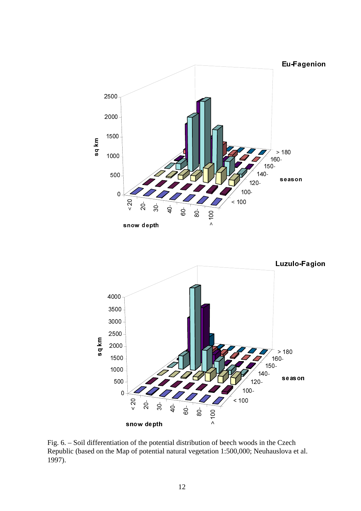



Fig. 6. – Soil differentiation of the potential distribution of beech woods in the Czech Republic (based on the Map of potential natural vegetation 1:500,000; Neuhauslova et al. 1997).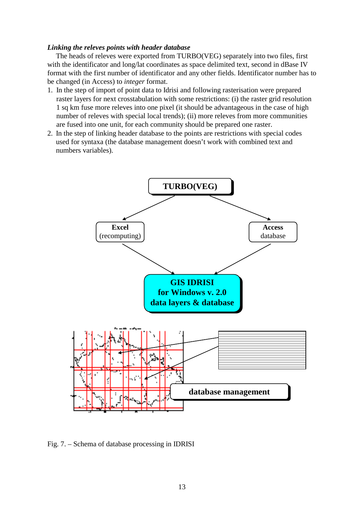### *Linking the releves points with header database*

The heads of releves were exported from TURBO(VEG) separately into two files, first with the identificator and long/lat coordinates as space delimited text, second in dBase IV format with the first number of identificator and any other fields. Identificator number has to be changed (in Access) to *integer* format.

- 1. In the step of import of point data to Idrisi and following rasterisation were prepared raster layers for next crosstabulation with some restrictions: (i) the raster grid resolution 1 sq km fuse more releves into one pixel (it should be advantageous in the case of high number of releves with special local trends); (ii) more releves from more communities are fused into one unit, for each community should be prepared one raster.
- 2. In the step of linking header database to the points are restrictions with special codes used for syntaxa (the database management doesn't work with combined text and numbers variables).



Fig. 7. – Schema of database processing in IDRISI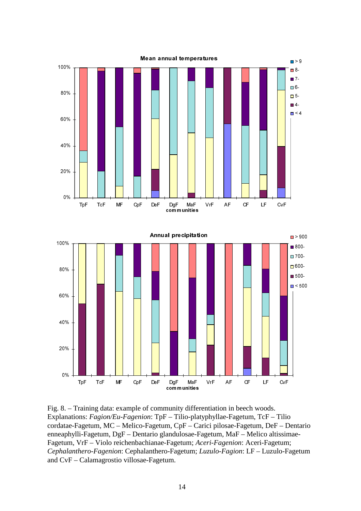

Fig. 8. – Training data: example of community differentiation in beech woods. Explanations: *Fagion/Eu-Fagenion*: TpF – Tilio-platyphyllae-Fagetum, TcF – Tilio cordatae-Fagetum, MC – Melico-Fagetum, CpF – Carici pilosae-Fagetum, DeF – Dentario enneaphylli-Fagetum, DgF – Dentario glandulosae-Fagetum, MaF – Melico altissimae-Fagetum, VrF – Violo reichenbachianae-Fagetum; *Aceri-Fagenion*: Aceri-Fagetum; *Cephalanthero-Fagenion*: Cephalanthero-Fagetum; *Luzulo-Fagion*: LF – Luzulo-Fagetum and CvF – Calamagrostio villosae-Fagetum.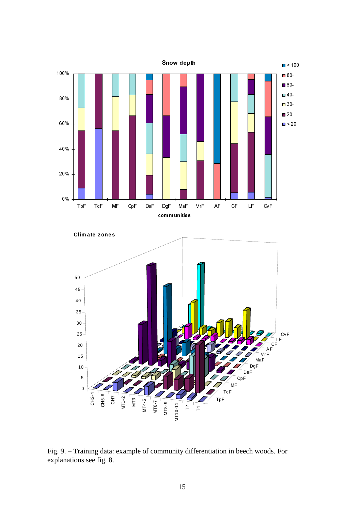



Fig. 9. – Training data: example of community differentiation in beech woods. For explanations see fig. 8.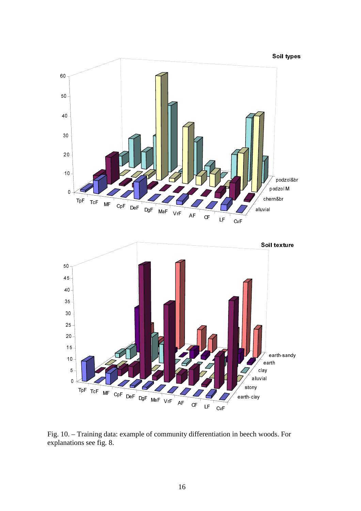

Fig. 10. – Training data: example of community differentiation in beech woods. For explanations see fig. 8.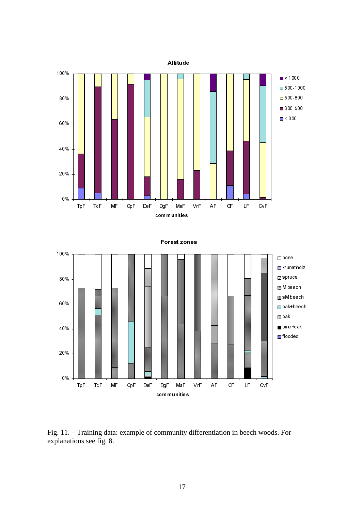Altitude



#### Forest zones



Fig. 11. – Training data: example of community differentiation in beech woods. For explanations see fig. 8.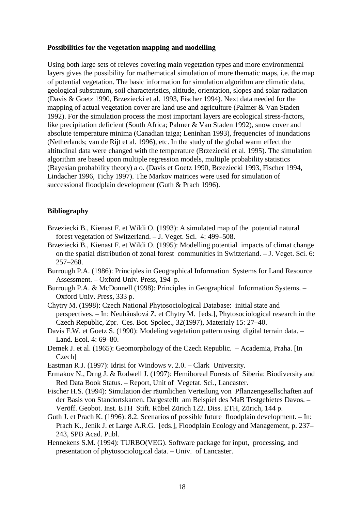### **Possibilities for the vegetation mapping and modelling**

Using both large sets of releves covering main vegetation types and more environmental layers gives the possibility for mathematical simulation of more thematic maps, i.e. the map of potential vegetation. The basic information for simulation algorithm are climatic data, geological substratum, soil characteristics, altitude, orientation, slopes and solar radiation (Davis & Goetz 1990, Brzeziecki et al. 1993, Fischer 1994). Next data needed for the mapping of actual vegetation cover are land use and agriculture (Palmer & Van Staden 1992). For the simulation process the most important layers are ecological stress-factors, like precipitation deficient (South Africa; Palmer & Van Staden 1992), snow cover and absolute temperature minima (Canadian taiga; Leninhan 1993), frequencies of inundations (Netherlands; van de Rijt et al. 1996), etc. In the study of the global warm effect the altitudinal data were changed with the temperature (Brzeziecki et al. 1995). The simulation algorithm are based upon multiple regression models, multiple probability statistics (Bayesian probability theory) a o. (Davis et Goetz 1990, Brzeziecki 1993, Fischer 1994, Lindacher 1996, Tichy 1997). The Markov matrices were used for simulation of successional floodplain development (Guth & Prach 1996).

## **Bibliography**

- Brzeziecki B., Kienast F. et Wildi O. (1993): A simulated map of the potential natural forest vegetation of Switzerland. – J. Veget. Sci. 4: 499–508.
- Brzeziecki B., Kienast F. et Wildi O. (1995): Modelling potential impacts of climat change on the spatial distribution of zonal forest communities in Switzerland. – J. Veget. Sci. 6: 257–268.
- Burrough P.A. (1986): Principles in Geographical Information Systems for Land Resource Assessment. – Oxford Univ. Press, 194 p.
- Burrough P.A. & McDonnell (1998): Principles in Geographical Information Systems. Oxford Univ. Press, 333 p.
- Chytry M. (1998): Czech National Phytosociological Database: initial state and perspectives. – In: Neuhäuslová Z. et Chytry M. [eds.], Phytosociological research in the Czech Republic, Zpr. Ces. Bot. Spolec., 32(1997), Materialy 15: 27–40.
- Davis F.W. et Goetz S. (1990): Modeling vegetation pattern using digital terrain data. -Land. Ecol. 4: 69–80.
- Demek J. et al. (1965): Geomorphology of the Czech Republic. Academia, Praha. [In Czech]
- Eastman R.J. (1997): Idrisi for Windows v. 2.0. Clark University.
- Ermakov N., Drng J. & Rodwell J. (1997): Hemiboreal Forests of Siberia: Biodiversity and Red Data Book Status. – Report, Unit of Vegetat. Sci., Lancaster.
- Fischer H.S. (1994): Simulation der räumlichen Verteilung von Pflanzengesellschaften auf der Basis von Standortskarten. Dargestellt am Beispiel des MaB Testgebietes Davos. – Veröff. Geobot. Inst. ETH Stift. Rübel Zürich 122. Diss. ETH, Zürich, 144 p.
- Guth J. et Prach K. (1996): 8.2. Scenarios of possible future floodplain development. In: Prach K., Jeník J. et Large A.R.G. [eds.], Floodplain Ecology and Management, p. 237– 243, SPB Acad. Publ.
- Hennekens S.M. (1994): TURBO(VEG). Software package for input, processing, and presentation of phytosociological data. – Univ. of Lancaster.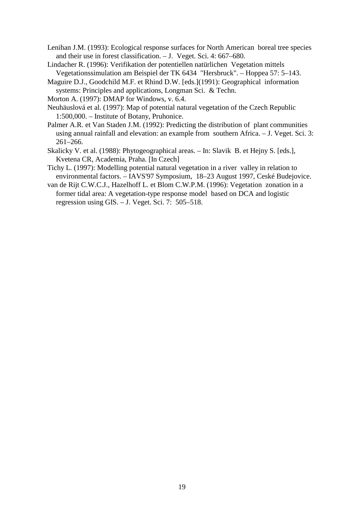- Lenihan J.M. (1993): Ecological response surfaces for North American boreal tree species and their use in forest classification. – J. Veget. Sci. 4: 667–680.
- Lindacher R. (1996): Verifikation der potentiellen natürlichen Vegetation mittels Vegetationssimulation am Beispiel der TK 6434 "Hersbruck". – Hoppea 57: 5–143.
- Maguire D.J., Goodchild M.F. et Rhind D.W. [eds.](1991): Geographical information systems: Principles and applications, Longman Sci. & Techn.
- Morton A. (1997): DMAP for Windows, v. 6.4.
- Neuhäuslová et al. (1997): Map of potential natural vegetation of the Czech Republic 1:500,000. – Institute of Botany, Pruhonice.
- Palmer A.R. et Van Staden J.M. (1992): Predicting the distribution of plant communities using annual rainfall and elevation: an example from southern Africa. – J. Veget. Sci. 3: 261–266.
- Skalicky V. et al. (1988): Phytogeographical areas. In: Slavik B. et Hejny S. [eds.], Kvetena CR, Academia, Praha. [In Czech]
- Tichy L. (1997): Modelling potential natural vegetation in a river valley in relation to environmental factors. – IAVS'97 Symposium, 18–23 August 1997, Ceské Budejovice.
- van de Rijt C.W.C.J., Hazelhoff L. et Blom C.W.P.M. (1996): Vegetation zonation in a former tidal area: A vegetation-type response model based on DCA and logistic regression using GIS. – J. Veget. Sci. 7: 505–518.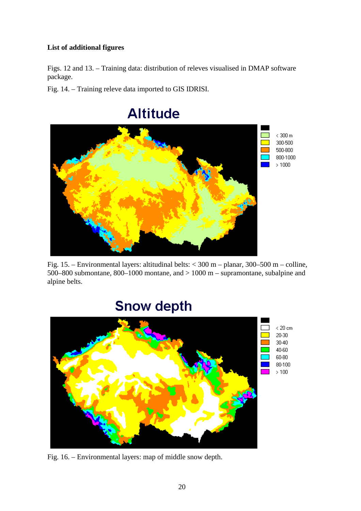## **List of additional figures**

Figs. 12 and 13. – Training data: distribution of releves visualised in DMAP software package.

Fig. 14. – Training releve data imported to GIS IDRISI.



## **Altitude**

Fig. 15. – Environmental layers: altitudinal belts: < 300 m – planar, 300–500 m – colline, 500–800 submontane, 800–1000 montane, and > 1000 m – supramontane, subalpine and alpine belts.

# **Snow depth**



Fig. 16. – Environmental layers: map of middle snow depth.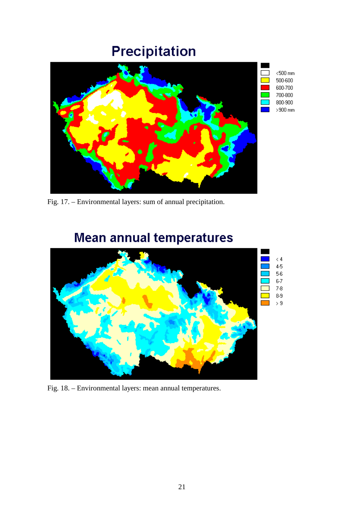# Precipitation



Fig. 17. – Environmental layers: sum of annual precipitation.

# $\langle 4$  $4-5$  $5-6$  $6-7$  $\overline{\square}$  7.8  $\overline{\phantom{a}}$  $8-9$  $\Box$  > 9

# **Mean annual temperatures**

Fig. 18. – Environmental layers: mean annual temperatures.